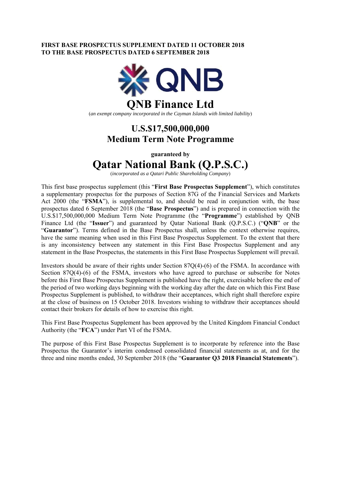### **FIRST BASE PROSPECTUS SUPPLEMENT DATED 11 OCTOBER 2018 TO THE BASE PROSPECTUS DATED 6 SEPTEMBER 2018**



(*an exempt company incorporated in the Cayman Islands with limited liability*)

## **U.S.\$17,500,000,000 Medium Term Note Programme**

**guaranteed by** 

# **Qatar National Bank (Q.P.S.C.)**

(*incorporated as a Qatari Public Shareholding Company*)

This first base prospectus supplement (this "**First Base Prospectus Supplement**"), which constitutes a supplementary prospectus for the purposes of Section 87G of the Financial Services and Markets Act 2000 (the "**FSMA**"), is supplemental to, and should be read in conjunction with, the base prospectus dated 6 September 2018 (the "**Base Prospectus**") and is prepared in connection with the U.S.\$17,500,000,000 Medium Term Note Programme (the "**Programme**") established by QNB Finance Ltd (the "**Issuer**") and guaranteed by Qatar National Bank (Q.P.S.C.) ("**QNB**" or the "**Guarantor**"). Terms defined in the Base Prospectus shall, unless the context otherwise requires, have the same meaning when used in this First Base Prospectus Supplement. To the extent that there is any inconsistency between any statement in this First Base Prospectus Supplement and any statement in the Base Prospectus, the statements in this First Base Prospectus Supplement will prevail.

Investors should be aware of their rights under Section 87Q(4)-(6) of the FSMA. In accordance with Section 87Q(4)-(6) of the FSMA, investors who have agreed to purchase or subscribe for Notes before this First Base Prospectus Supplement is published have the right, exercisable before the end of the period of two working days beginning with the working day after the date on which this First Base Prospectus Supplement is published, to withdraw their acceptances, which right shall therefore expire at the close of business on 15 October 2018. Investors wishing to withdraw their acceptances should contact their brokers for details of how to exercise this right.

This First Base Prospectus Supplement has been approved by the United Kingdom Financial Conduct Authority (the "**FCA**") under Part VI of the FSMA.

The purpose of this First Base Prospectus Supplement is to incorporate by reference into the Base Prospectus the Guarantor's interim condensed consolidated financial statements as at, and for the three and nine months ended, 30 September 2018 (the "**Guarantor Q3 2018 Financial Statements**").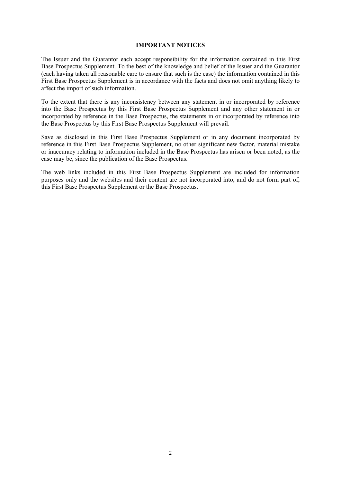### **IMPORTANT NOTICES**

The Issuer and the Guarantor each accept responsibility for the information contained in this First Base Prospectus Supplement. To the best of the knowledge and belief of the Issuer and the Guarantor (each having taken all reasonable care to ensure that such is the case) the information contained in this First Base Prospectus Supplement is in accordance with the facts and does not omit anything likely to affect the import of such information.

To the extent that there is any inconsistency between any statement in or incorporated by reference into the Base Prospectus by this First Base Prospectus Supplement and any other statement in or incorporated by reference in the Base Prospectus, the statements in or incorporated by reference into the Base Prospectus by this First Base Prospectus Supplement will prevail.

Save as disclosed in this First Base Prospectus Supplement or in any document incorporated by reference in this First Base Prospectus Supplement, no other significant new factor, material mistake or inaccuracy relating to information included in the Base Prospectus has arisen or been noted, as the case may be, since the publication of the Base Prospectus.

The web links included in this First Base Prospectus Supplement are included for information purposes only and the websites and their content are not incorporated into, and do not form part of, this First Base Prospectus Supplement or the Base Prospectus.